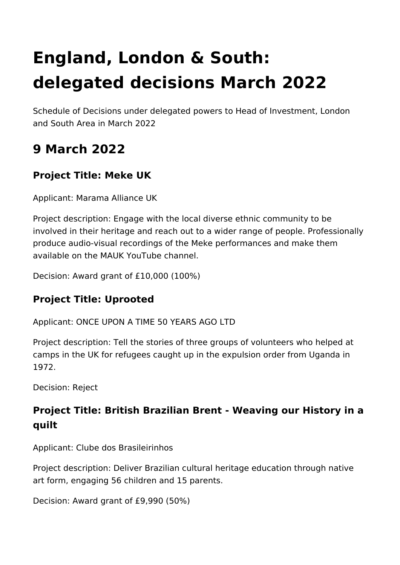# **England, London & South: delegated decisions March 2022**

Schedule of Decisions under delegated powers to Head of Investment, London and South Area in March 2022

# **9 March 2022**

## **Project Title: Meke UK**

Applicant: Marama Alliance UK

Project description: Engage with the local diverse ethnic community to be involved in their heritage and reach out to a wider range of people. Professionally produce audio-visual recordings of the Meke performances and make them available on the MAUK YouTube channel.

Decision: Award grant of £10,000 (100%)

#### **Project Title: Uprooted**

Applicant: ONCE UPON A TIME 50 YEARS AGO LTD

Project description: Tell the stories of three groups of volunteers who helped at camps in the UK for refugees caught up in the expulsion order from Uganda in 1972.

Decision: Reject

## **Project Title: British Brazilian Brent - Weaving our History in a quilt**

Applicant: Clube dos Brasileirinhos

Project description: Deliver Brazilian cultural heritage education through native art form, engaging 56 children and 15 parents.

Decision: Award grant of £9,990 (50%)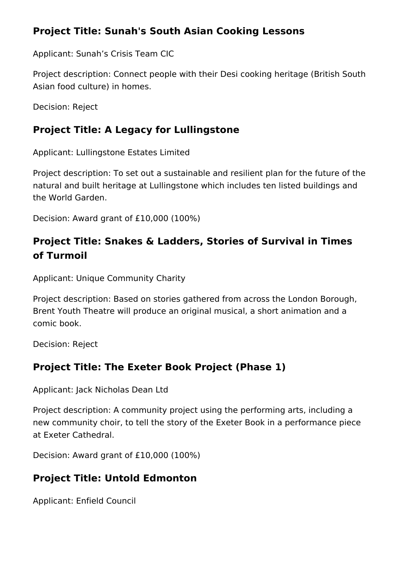#### **Project Title: Sunah's South Asian Cooking Lessons**

Applicant: Sunah's Crisis Team CIC

Project description: Connect people with their Desi cooking heritage (British South Asian food culture) in homes.

Decision: Reject

#### **Project Title: A Legacy for Lullingstone**

Applicant: Lullingstone Estates Limited

Project description: To set out a sustainable and resilient plan for the future of the natural and built heritage at Lullingstone which includes ten listed buildings and the World Garden.

Decision: Award grant of £10,000 (100%)

## **Project Title: Snakes & Ladders, Stories of Survival in Times of Turmoil**

Applicant: Unique Community Charity

Project description: Based on stories gathered from across the London Borough, Brent Youth Theatre will produce an original musical, a short animation and a comic book.

Decision: Reject

#### **Project Title: The Exeter Book Project (Phase 1)**

Applicant: Jack Nicholas Dean Ltd

Project description: A community project using the performing arts, including a new community choir, to tell the story of the Exeter Book in a performance piece at Exeter Cathedral.

Decision: Award grant of £10,000 (100%)

#### **Project Title: Untold Edmonton**

Applicant: Enfield Council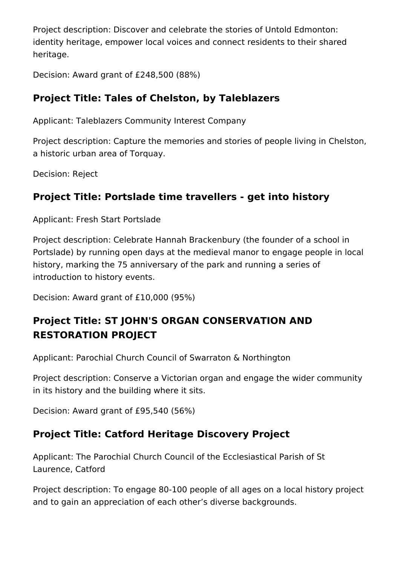Project description: Discover and celebrate the stories of Untold Edmonton: identity heritage, empower local voices and connect residents to their shared heritage.

Decision: Award grant of £248,500 (88%)

## **Project Title: Tales of Chelston, by Taleblazers**

Applicant: Taleblazers Community Interest Company

Project description: Capture the memories and stories of people living in Chelston, a historic urban area of Torquay.

Decision: Reject

## **Project Title: Portslade time travellers - get into history**

Applicant: Fresh Start Portslade

Project description: Celebrate Hannah Brackenbury (the founder of a school in Portslade) by running open days at the medieval manor to engage people in local history, marking the 75 anniversary of the park and running a series of introduction to history events.

Decision: Award grant of £10,000 (95%)

## **Project Title: ST JOHN'S ORGAN CONSERVATION AND RESTORATION PROJECT**

Applicant: Parochial Church Council of Swarraton & Northington

Project description: Conserve a Victorian organ and engage the wider community in its history and the building where it sits.

Decision: Award grant of £95,540 (56%)

## **Project Title: Catford Heritage Discovery Project**

Applicant: The Parochial Church Council of the Ecclesiastical Parish of St Laurence, Catford

Project description: To engage 80-100 people of all ages on a local history project and to gain an appreciation of each other's diverse backgrounds.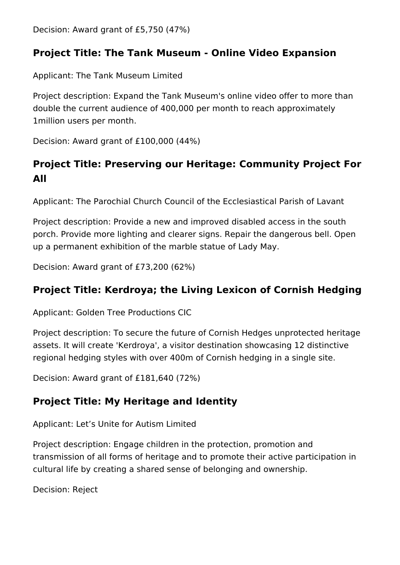Decision: Award grant of £5,750 (47%)

#### **Project Title: The Tank Museum - Online Video Expansion**

Applicant: The Tank Museum Limited

Project description: Expand the Tank Museum's online video offer to more than double the current audience of 400,000 per month to reach approximately 1million users per month.

Decision: Award grant of £100,000 (44%)

## **Project Title: Preserving our Heritage: Community Project For All**

Applicant: The Parochial Church Council of the Ecclesiastical Parish of Lavant

Project description: Provide a new and improved disabled access in the south porch. Provide more lighting and clearer signs. Repair the dangerous bell. Open up a permanent exhibition of the marble statue of Lady May.

Decision: Award grant of £73,200 (62%)

## **Project Title: Kerdroya; the Living Lexicon of Cornish Hedging**

Applicant: Golden Tree Productions CIC

Project description: To secure the future of Cornish Hedges unprotected heritage assets. It will create 'Kerdroya', a visitor destination showcasing 12 distinctive regional hedging styles with over 400m of Cornish hedging in a single site.

Decision: Award grant of £181,640 (72%)

#### **Project Title: My Heritage and Identity**

Applicant: Let's Unite for Autism Limited

Project description: Engage children in the protection, promotion and transmission of all forms of heritage and to promote their active participation in cultural life by creating a shared sense of belonging and ownership.

Decision: Reject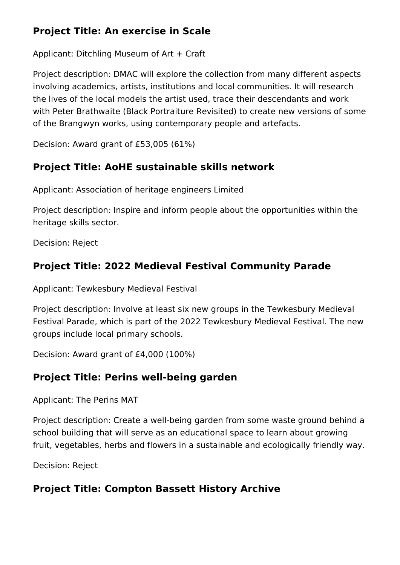## **Project Title: An exercise in Scale**

Applicant: Ditchling Museum of Art + Craft

Project description: DMAC will explore the collection from many different aspects involving academics, artists, institutions and local communities. It will research the lives of the local models the artist used, trace their descendants and work with Peter Brathwaite (Black Portraiture Revisited) to create new versions of some of the Brangwyn works, using contemporary people and artefacts.

Decision: Award grant of £53,005 (61%)

#### **Project Title: AoHE sustainable skills network**

Applicant: Association of heritage engineers Limited

Project description: Inspire and inform people about the opportunities within the heritage skills sector.

Decision: Reject

## **Project Title: 2022 Medieval Festival Community Parade**

Applicant: Tewkesbury Medieval Festival

Project description: Involve at least six new groups in the Tewkesbury Medieval Festival Parade, which is part of the 2022 Tewkesbury Medieval Festival. The new groups include local primary schools.

Decision: Award grant of £4,000 (100%)

## **Project Title: Perins well-being garden**

Applicant: The Perins MAT

Project description: Create a well-being garden from some waste ground behind a school building that will serve as an educational space to learn about growing fruit, vegetables, herbs and flowers in a sustainable and ecologically friendly way.

Decision: Reject

## **Project Title: Compton Bassett History Archive**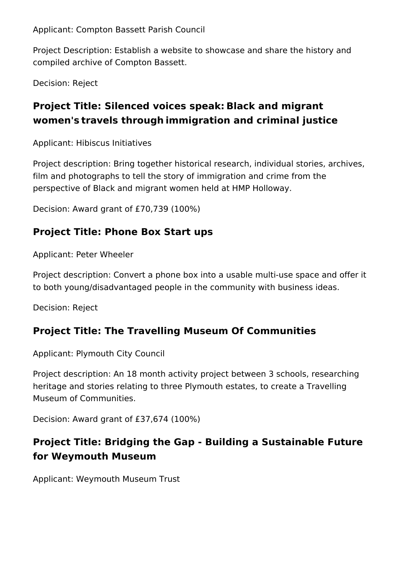Applicant: Compton Bassett Parish Council

Project Description: Establish a website to showcase and share the history and compiled archive of Compton Bassett.

Decision: Reject

## **Project Title: Silenced voices speak: Black and migrant women's travels through immigration and criminal justice**

Applicant: Hibiscus Initiatives

Project description: Bring together historical research, individual stories, archives, film and photographs to tell the story of immigration and crime from the perspective of Black and migrant women held at HMP Holloway.

Decision: Award grant of £70,739 (100%)

## **Project Title: Phone Box Start ups**

Applicant: Peter Wheeler

Project description: Convert a phone box into a usable multi-use space and offer it to both young/disadvantaged people in the community with business ideas.

Decision: Reject

#### **Project Title: The Travelling Museum Of Communities**

Applicant: Plymouth City Council

Project description: An 18 month activity project between 3 schools, researching heritage and stories relating to three Plymouth estates, to create a Travelling Museum of Communities.

Decision: Award grant of £37,674 (100%)

## **Project Title: Bridging the Gap - Building a Sustainable Future for Weymouth Museum**

Applicant: Weymouth Museum Trust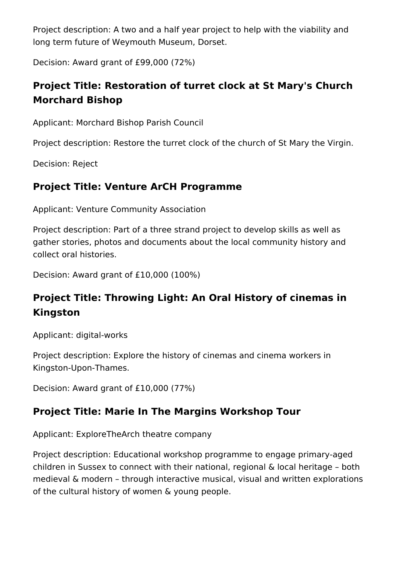Project description: A two and a half year project to help with the viability and long term future of Weymouth Museum, Dorset.

Decision: Award grant of £99,000 (72%)

## **Project Title: Restoration of turret clock at St Mary's Church Morchard Bishop**

Applicant: Morchard Bishop Parish Council

Project description: Restore the turret clock of the church of St Mary the Virgin.

Decision: Reject

## **Project Title: Venture ArCH Programme**

Applicant: Venture Community Association

Project description: Part of a three strand project to develop skills as well as gather stories, photos and documents about the local community history and collect oral histories.

Decision: Award grant of £10,000 (100%)

## **Project Title: Throwing Light: An Oral History of cinemas in Kingston**

Applicant: digital-works

Project description: Explore the history of cinemas and cinema workers in Kingston-Upon-Thames.

Decision: Award grant of £10,000 (77%)

#### **Project Title: Marie In The Margins Workshop Tour**

Applicant: ExploreTheArch theatre company

Project description: Educational workshop programme to engage primary-aged children in Sussex to connect with their national, regional & local heritage – both medieval & modern – through interactive musical, visual and written explorations of the cultural history of women & young people.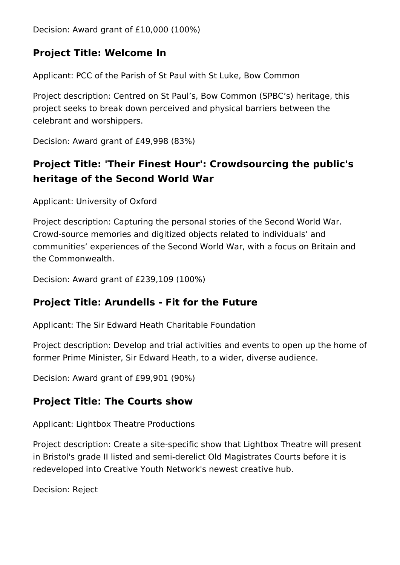Decision: Award grant of £10,000 (100%)

#### **Project Title: Welcome In**

Applicant: PCC of the Parish of St Paul with St Luke, Bow Common

Project description: Centred on St Paul's, Bow Common (SPBC's) heritage, this project seeks to break down perceived and physical barriers between the celebrant and worshippers.

Decision: Award grant of £49,998 (83%)

## **Project Title: 'Their Finest Hour': Crowdsourcing the public's heritage of the Second World War**

Applicant: University of Oxford

Project description: Capturing the personal stories of the Second World War. Crowd-source memories and digitized objects related to individuals' and communities' experiences of the Second World War, with a focus on Britain and the Commonwealth.

Decision: Award grant of £239,109 (100%)

#### **Project Title: Arundells - Fit for the Future**

Applicant: The Sir Edward Heath Charitable Foundation

Project description: Develop and trial activities and events to open up the home of former Prime Minister, Sir Edward Heath, to a wider, diverse audience.

Decision: Award grant of £99,901 (90%)

#### **Project Title: The Courts show**

Applicant: Lightbox Theatre Productions

Project description: Create a site-specific show that Lightbox Theatre will present in Bristol's grade II listed and semi-derelict Old Magistrates Courts before it is redeveloped into Creative Youth Network's newest creative hub.

Decision: Reject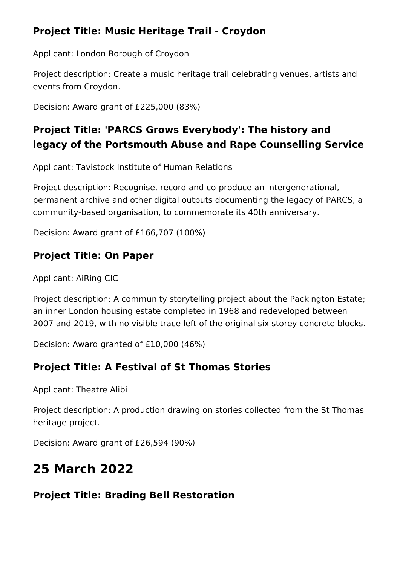#### **Project Title: Music Heritage Trail - Croydon**

Applicant: London Borough of Croydon

Project description: Create a music heritage trail celebrating venues, artists and events from Croydon.

Decision: Award grant of £225,000 (83%)

## **Project Title: 'PARCS Grows Everybody': The history and legacy of the Portsmouth Abuse and Rape Counselling Service**

Applicant: Tavistock Institute of Human Relations

Project description: Recognise, record and co-produce an intergenerational, permanent archive and other digital outputs documenting the legacy of PARCS, a community-based organisation, to commemorate its 40th anniversary.

Decision: Award grant of £166,707 (100%)

## **Project Title: On Paper**

Applicant: AiRing CIC

Project description: A community storytelling project about the Packington Estate; an inner London housing estate completed in 1968 and redeveloped between 2007 and 2019, with no visible trace left of the original six storey concrete blocks.

Decision: Award granted of £10,000 (46%)

## **Project Title: A Festival of St Thomas Stories**

Applicant: Theatre Alibi

Project description: A production drawing on stories collected from the St Thomas heritage project.

Decision: Award grant of £26,594 (90%)

# **25 March 2022**

## **Project Title: Brading Bell Restoration**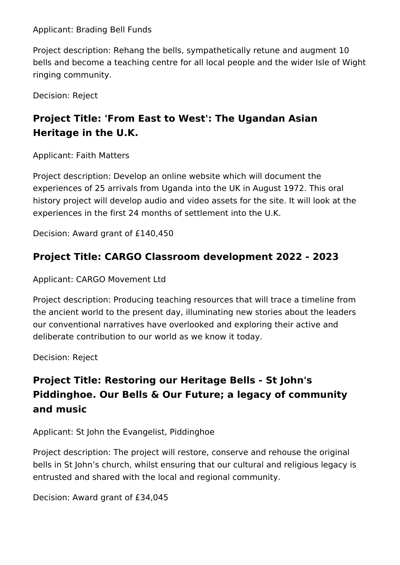Applicant: Brading Bell Funds

Project description: Rehang the bells, sympathetically retune and augment 10 bells and become a teaching centre for all local people and the wider Isle of Wight ringing community.

Decision: Reject

## **Project Title: 'From East to West': The Ugandan Asian Heritage in the U.K.**

Applicant: Faith Matters

Project description: Develop an online website which will document the experiences of 25 arrivals from Uganda into the UK in August 1972. This oral history project will develop audio and video assets for the site. It will look at the experiences in the first 24 months of settlement into the U.K.

Decision: Award grant of £140,450

## **Project Title: CARGO Classroom development 2022 - 2023**

Applicant: CARGO Movement Ltd

Project description: Producing teaching resources that will trace a timeline from the ancient world to the present day, illuminating new stories about the leaders our conventional narratives have overlooked and exploring their active and deliberate contribution to our world as we know it today.

Decision: Reject

## **Project Title: Restoring our Heritage Bells - St John's Piddinghoe. Our Bells & Our Future; a legacy of community and music**

Applicant: St John the Evangelist, Piddinghoe

Project description: The project will restore, conserve and rehouse the original bells in St John's church, whilst ensuring that our cultural and religious legacy is entrusted and shared with the local and regional community.

Decision: Award grant of £34,045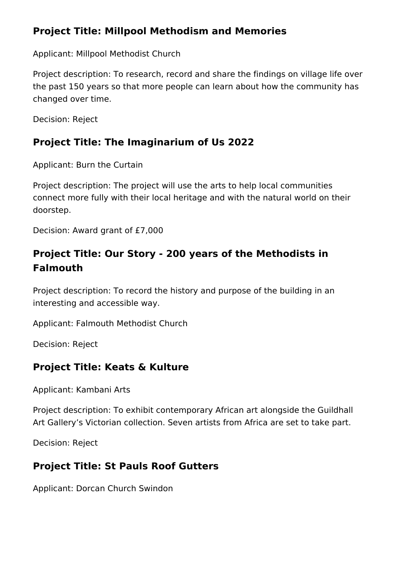#### **Project Title: Millpool Methodism and Memories**

Applicant: Millpool Methodist Church

Project description: To research, record and share the findings on village life over the past 150 years so that more people can learn about how the community has changed over time.

Decision: Reject

## **Project Title: The Imaginarium of Us 2022**

Applicant: Burn the Curtain

Project description: The project will use the arts to help local communities connect more fully with their local heritage and with the natural world on their doorstep.

Decision: Award grant of £7,000

## **Project Title: Our Story - 200 years of the Methodists in Falmouth**

Project description: To record the history and purpose of the building in an interesting and accessible way.

Applicant: Falmouth Methodist Church

Decision: Reject

#### **Project Title: Keats & Kulture**

Applicant: Kambani Arts

Project description: To exhibit contemporary African art alongside the Guildhall Art Gallery's Victorian collection. Seven artists from Africa are set to take part.

Decision: Reject

#### **Project Title: St Pauls Roof Gutters**

Applicant: Dorcan Church Swindon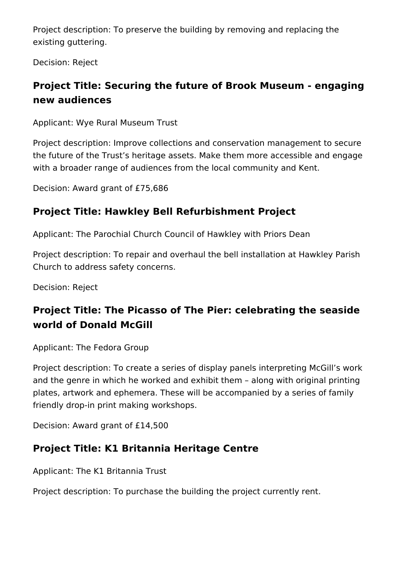Project description: To preserve the building by removing and replacing the existing guttering.

Decision: Reject

## **Project Title: Securing the future of Brook Museum - engaging new audiences**

Applicant: Wye Rural Museum Trust

Project description: Improve collections and conservation management to secure the future of the Trust's heritage assets. Make them more accessible and engage with a broader range of audiences from the local community and Kent.

Decision: Award grant of £75,686

## **Project Title: Hawkley Bell Refurbishment Project**

Applicant: The Parochial Church Council of Hawkley with Priors Dean

Project description: To repair and overhaul the bell installation at Hawkley Parish Church to address safety concerns.

Decision: Reject

## **Project Title: The Picasso of The Pier: celebrating the seaside world of Donald McGill**

Applicant: The Fedora Group

Project description: To create a series of display panels interpreting McGill's work and the genre in which he worked and exhibit them – along with original printing plates, artwork and ephemera. These will be accompanied by a series of family friendly drop-in print making workshops.

Decision: Award grant of £14,500

#### **Project Title: K1 Britannia Heritage Centre**

Applicant: The K1 Britannia Trust

Project description: To purchase the building the project currently rent.